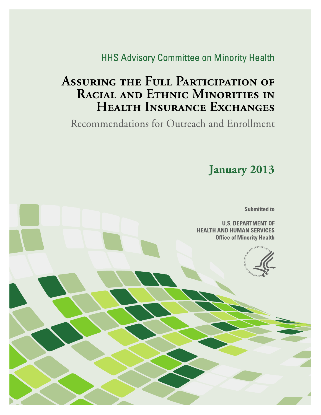**HHS Advisory Committee on Minority Health** 

# **ASSURING THE FULL PARTICIPATION OF** RACIAL AND ETHNIC MINORITIES IN HEALTH INSURANCE EXCHANGES

Recommendations for Outreach and Enrollment

January 2013

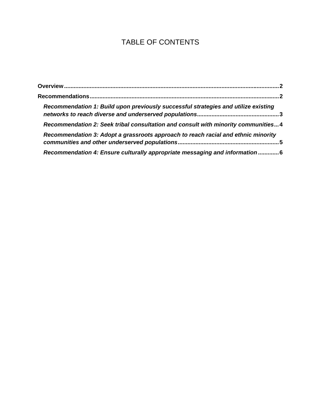## TABLE OF CONTENTS

| Recommendation 1: Build upon previously successful strategies and utilize existing |  |
|------------------------------------------------------------------------------------|--|
| Recommendation 2: Seek tribal consultation and consult with minority communities4  |  |
| Recommendation 3: Adopt a grassroots approach to reach racial and ethnic minority  |  |
| Recommendation 4: Ensure culturally appropriate messaging and information 6        |  |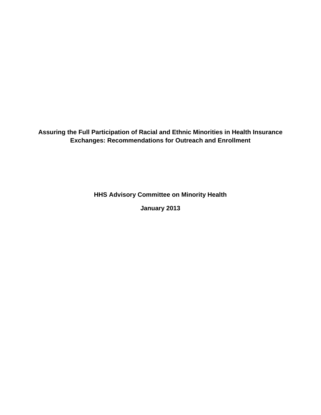**Assuring the Full Participation of Racial and Ethnic Minorities in Health Insurance Exchanges: Recommendations for Outreach and Enrollment** 

**HHS Advisory Committee on Minority Health** 

**January 2013**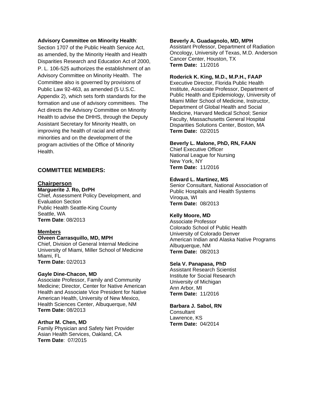#### **Advisory Committee on Minority Health**:

Section 1707 of the Public Health Service Act, as amended, by the Minority Health and Health Disparities Research and Education Act of 2000, P. L. 106-525 authorizes the establishment of an Advisory Committee on Minority Health. The Committee also is governed by provisions of Public Law 92-463, as amended (5 U.S.C. Appendix 2), which sets forth standards for the formation and use of advisory committees. The Act directs the Advisory Committee on Minority Health to advise the DHHS, through the Deputy Assistant Secretary for Minority Health, on improving the health of racial and ethnic minorities and on the development of the program activities of the Office of Minority **Health** 

#### **COMMITTEE MEMBERS:**

#### **Chairperson**

**Marguerite J. Ro, DrPH**  Chief, Assessment Policy Development, and Evaluation Section Public Health Seattle-King County Seattle, WA **Term Date**: 08/2013

#### **Members**

#### **Olveen Carrasquillo, MD, MPH**

Chief, Division of General Internal Medicine University of Miami, Miller School of Medicine Miami, FL **Term Date:** 02/2013

#### **Gayle Dine-Chacon, MD**

Associate Professor, Family and Community Medicine; Director, Center for Native American Health and Associate Vice President for Native American Health, University of New Mexico, Health Sciences Center, Albuquerque, NM **Term Date:** 08/2013

#### **Arthur M. Chen, MD**

Family Physician and Safety Net Provider Asian Health Services, Oakland, CA **Term Date**: 07/2015

#### **Beverly A. Guadagnolo, MD, MPH**

Assistant Professor, Department of Radiation Oncology, University of Texas, M.D. Anderson Cancer Center, Houston, TX **Term Date:** 11/2016

#### **Roderick K. King, M.D., M.P.H., FAAP**

Executive Director, Florida Public Health Institute, Associate Professor, Department of Public Health and Epidemiology, University of Miami Miller School of Medicine, Instructor, Department of Global Health and Social Medicine, Harvard Medical School; Senior Faculty, Massachusetts General Hospital Disparities Solutions Center, Boston, MA **Term Date:** 02/2015

#### **Beverly L. Malone, PhD, RN, FAAN**

Chief Executive Officer National League for Nursing New York, NY **Term Date:** 11/2016

#### **Edward L. Martinez, MS**

Senior Consultant, National Association of Public Hospitals and Health Systems Viroqua, WI **Term Date:** 08/2013

#### **Kelly Moore, MD**

Associate Professor Colorado School of Public Health University of Colorado Denver American Indian and Alaska Native Programs Albuquerque, NM **Term Date:** 08/2013

#### **Sela V. Panapasa, PhD**

Assistant Research Scientist Institute for Social Research University of Michigan Ann Arbor, MI **Term Date:** 11/2016

#### **Barbara J. Sabol, RN**

**Consultant** Lawrence, KS **Term Date:** 04/2014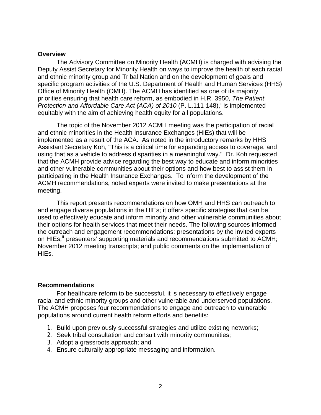#### **Overview**

The Advisory Committee on Minority Health (ACMH) is charged with advising the Deputy Assist Secretary for Minority Health on ways to improve the health of each racial and ethnic minority group and Tribal Nation and on the development of goals and specific program activities of the U.S. Department of Health and Human Services (HHS) Office of Minority Health (OMH). The ACMH has identified as one of its majority priorities ensuring that health care reform, as embodied in H.R. 3950, *The Patient*  Protect[i](#page-9-0)on and Affordable Care Act (ACA) of 2010 (P. L.111-148), is implemented equitably with the aim of achieving health equity for all populations.

The topic of the November 2012 ACMH meeting was the participation of racial and ethnic minorities in the Health Insurance Exchanges (HIEs) that will be implemented as a result of the ACA. As noted in the introductory remarks by HHS Assistant Secretary Koh, "This is a critical time for expanding access to coverage, and using that as a vehicle to address disparities in a meaningful way." Dr. Koh requested that the ACMH provide advice regarding the best way to educate and inform minorities and other vulnerable communities about their options and how best to assist them in participating in the Health Insurance Exchanges. To inform the development of the ACMH recommendations, noted experts were invited to make presentations at the meeting.

This report presents recommendations on how OMH and HHS can outreach to and engage diverse populations in the HIEs; it offers specific strategies that can be used to effectively educate and inform minority and other vulnerable communities about their options for health services that meet their needs. The following sources informed the outreach and engagement recommendations: presentations by the invited experts on HIEs;<sup>"</sup> presenters' supporting materials and recommendations submitted to ACMH; November 2012 meeting transcripts; and public comments on the implementation of HIEs.

### <span id="page-4-1"></span>**Recommendations**

 For healthcare reform to be successful, it is necessary to effectively engage racial and ethnic minority groups and other vulnerable and underserved populations. The ACMH proposes four recommendations to engage and outreach to vulnerable populations around current health reform efforts and benefits:

- 1. Build upon previously successful strategies and utilize existing networks;
- 2. Seek tribal consultation and consult with minority communities;
- 3. Adopt a grassroots approach; and
- <span id="page-4-0"></span>4. Ensure culturally appropriate messaging and information.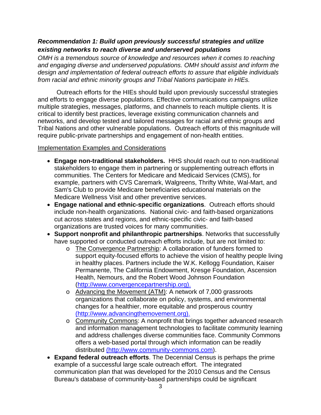## <span id="page-5-0"></span>*Recommendation 1: Build upon previously successful strategies and utilize existing networks to reach diverse and underserved populations*

*OMH is a tremendous source of knowledge and resources when it comes to reaching and engaging diverse and underserved populations. OMH should assist and inform the design and implementation of federal outreach efforts to assure that eligible individuals from racial and ethnic minority groups and Tribal Nations participate in HIEs.* 

 Outreach efforts for the HIEs should build upon previously successful strategies and efforts to engage diverse populations. Effective communications campaigns utilize multiple strategies, messages, platforms, and channels to reach multiple clients. It is critical to identify best practices, leverage existing communication channels and networks, and develop tested and tailored messages for racial and ethnic groups and Tribal Nations and other vulnerable populations. Outreach efforts of this magnitude will require public-private partnerships and engagement of non-health entities.

## Implementation Examples and Considerations

- **Engage non-traditional stakeholders.** HHS should reach out to non-traditional stakeholders to engage them in partnering or supplementing outreach efforts in communities. The Centers for Medicare and Medicaid Services (CMS), for example, partners with CVS Caremark, Walgreens, Thrifty White, Wal-Mart, and Sam's Club to provide Medicare beneficiaries educational materials on the Medicare Wellness Visit and other preventive services.
- **Engage national and ethnic-specific organizations**. Outreach efforts should include non-health organizations. National civic- and faith-based organizations cut across states and regions, and ethnic-specific civic- and faith-based organizations are trusted voices for many communities.
- **Support nonprofit and philanthropic partnerships**. Networks that successfully have supported or conducted outreach efforts include, but are not limited to:
	- o The Convergence Partnership: A collaboration of funders formed to support equity-focused efforts to achieve the vision of healthy people living in healthy places. Partners include the W.K. Kellogg Foundation, Kaiser Permanente, The California Endowment, Kresge Foundation, Ascension Health, Nemours, and the Robert Wood Johnson Foundation (http:/[/www.convergencepartnership.org\)](http://www.convergencepartnership.org/).
	- o Advancing the Movement (ATM): A network of 7,000 grassroots organizations that collaborate on policy, systems, and environmental changes for a healthier, more equitable and prosperous country (http:/[/www.advancingthemovement.org](http://www.advancingthemovement.org/)).
	- o Community Commons: A nonprofit that brings together advanced research and information management technologies to facilitate community learning and address challenges diverse communities face. Community Commons offers a web-based portal through which information can be readily distributed (http://[www.community-commons.com](http://www.community-commons.com/)).
- **Expand federal outreach efforts**. The Decennial Census is perhaps the prime example of a successful large scale outreach effort. The integrated communication plan that was developed for the 2010 Census and the Census Bureau's database of community-based partnerships could be significant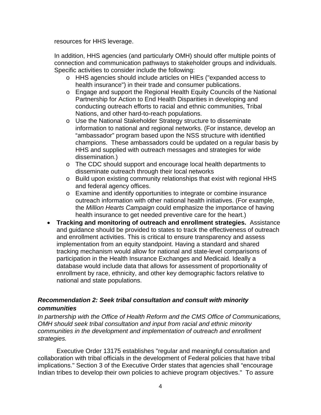resources for HHS leverage.

In addition, HHS agencies (and particularly OMH) should offer multiple points of connection and communication pathways to stakeholder groups and individuals. Specific activities to consider include the following:

- o HHS agencies should include articles on HIEs ("expanded access to health insurance") in their trade and consumer publications.
- o Engage and support the Regional Health Equity Councils of the National Partnership for Action to End Health Disparities in developing and conducting outreach efforts to racial and ethnic communities, Tribal Nations, and other hard-to-reach populations.
- o Use the National Stakeholder Strategy structure to disseminate information to national and regional networks. (For instance, develop an "ambassador" program based upon the NSS structure with identified champions. These ambassadors could be updated on a regular basis by HHS and supplied with outreach messages and strategies for wide dissemination.)
- o The CDC should support and encourage local health departments to disseminate outreach through their local networks
- o Build upon existing community relationships that exist with regional HHS and federal agency offices.
- o Examine and identify opportunities to integrate or combine insurance outreach information with other national health initiatives. (For example, the *Million Hearts Campaign* could emphasize the importance of having health insurance to get needed preventive care for the heart.)
- **Tracking and monitoring of outreach and enrollment strategies.** Assistance and guidance should be provided to states to track the effectiveness of outreach and enrollment activities. This is critical to ensure transparency and assess implementation from an equity standpoint. Having a standard and shared tracking mechanism would allow for national and state-level comparisons of participation in the Health Insurance Exchanges and Medicaid. Ideally a database would include data that allows for assessment of proportionality of enrollment by race, ethnicity, and other key demographic factors relative to national and state populations.

## <span id="page-6-0"></span>*Recommendation 2: Seek tribal consultation and consult with minority communities*

*In partnership with the Office of Health Reform and the CMS Office of Communications, OMH should seek tribal consultation and input from racial and ethnic minority communities in the development and implementation of outreach and enrollment strategies.* 

Executive Order 13175 establishes "regular and meaningful consultation and collaboration with tribal officials in the development of Federal policies that have tribal implications." Section 3 of the Executive Order states that agencies shall "encourage Indian tribes to develop their own policies to achieve program objectives." To assure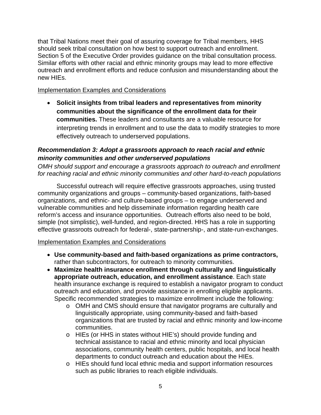that Tribal Nations meet their goal of assuring coverage for Tribal members, HHS should seek tribal consultation on how best to support outreach and enrollment. Section 5 of the Executive Order provides guidance on the tribal consultation process. Similar efforts with other racial and ethnic minority groups may lead to more effective outreach and enrollment efforts and reduce confusion and misunderstanding about the new HIEs.

## Implementation Examples and Considerations

 **Solicit insights from tribal leaders and representatives from minority communities about the significance of the enrollment data for their communities.** These leaders and consultants are a valuable resource for interpreting trends in enrollment and to use the data to modify strategies to more effectively outreach to underserved populations.

## <span id="page-7-0"></span>*Recommendation 3: Adopt a grassroots approach to reach racial and ethnic minority communities and other underserved populations*

*OMH should support and encourage a grassroots approach to outreach and enrollment for reaching racial and ethnic minority communities and other hard-to-reach populations* 

 Successful outreach will require effective grassroots approaches, using trusted community organizations and groups – community-based organizations, faith-based organizations, and ethnic- and culture-based groups – to engage underserved and vulnerable communities and help disseminate information regarding health care reform's access and insurance opportunities. Outreach efforts also need to be bold, simple (not simplistic), well-funded, and region-directed. HHS has a role in supporting effective grassroots outreach for federal-, state-partnership-, and state-run-exchanges.

## Implementation Examples and Considerations

- **Use community-based and faith-based organizations as prime contractors,**  rather than subcontractors, for outreach to minority communities.
- **Maximize health insurance enrollment through culturally and linguistically appropriate outreach, education, and enrollment assistance**. Each state health insurance exchange is required to establish a navigator program to conduct outreach and education, and provide assistance in enrolling eligible applicants. Specific recommended strategies to maximize enrollment include the following:
	- o OMH and CMS should ensure that navigator programs are culturally and linguistically appropriate, using community-based and faith-based organizations that are trusted by racial and ethnic minority and low-income communities.
	- o HIEs (or HHS in states without HIE's) should provide funding and technical assistance to racial and ethnic minority and local physician associations, community health centers, public hospitals, and local health departments to conduct outreach and education about the HIEs.
	- o HIEs should fund local ethnic media and support information resources such as public libraries to reach eligible individuals.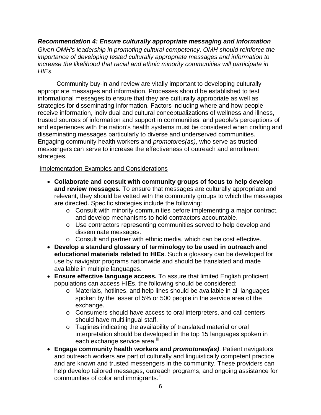## *Recommendation 4: Ensure culturally appropriate messaging and information*

<span id="page-8-0"></span>*Given OMH's leadership in promoting cultural competency, OMH should reinforce the importance of developing tested culturally appropriate messages and information to increase the likelihood that racial and ethnic minority communities will participate in HIEs.* 

 Community buy-in and review are vitally important to developing culturally appropriate messages and information. Processes should be established to test informational messages to ensure that they are culturally appropriate as well as strategies for disseminating information. Factors including where and how people receive information, individual and cultural conceptualizations of wellness and illness, trusted sources of information and support in communities, and people's perceptions of and experiences with the nation's health systems must be considered when crafting and disseminating messages particularly to diverse and underserved communities. Engaging community health workers and *promotores(as)*, who serve as trusted messengers can serve to increase the effectiveness of outreach and enrollment strategies.

## Implementation Examples and Considerations

- **Collaborate and consult with community groups of focus to help develop and review messages.** To ensure that messages are culturally appropriate and relevant, they should be vetted with the community groups to which the messages are directed. Specific strategies include the following:
	- o Consult with minority communities before implementing a major contract, and develop mechanisms to hold contractors accountable.
	- o Use contractors representing communities served to help develop and disseminate messages.
	- o Consult and partner with ethnic media, which can be cost effective.
- **Develop a standard glossary of terminology to be used in outreach and educational materials related to HIEs**. Such a glossary can be developed for use by navigator programs nationwide and should be translated and made available in multiple languages.
- **Ensure effective language access.** To assure that limited English proficient populations can access HIEs, the following should be considered:
	- o Materials, hotlines, and help lines should be available in all languages spoken by the lesser of 5% or 500 people in the service area of the exchange.
	- o Consumers should have access to oral interpreters, and call centers should have multilingual staff.
	- o Taglines indicating the availability of translated material or oral interpretation should be developed in the top 15 languages spoken in each exchange service area.<sup>iii</sup>
- **Engage community health workers and** *promotores(as)*. Patient navigators and outreach workers are part of culturally and linguistically competent practice and are known and trusted messengers in the community. These providers can help develop tailored messages, outreach programs, and ongoing assistance for communities of color and immigrants.<sup>[iii](#page-9-2)</sup>